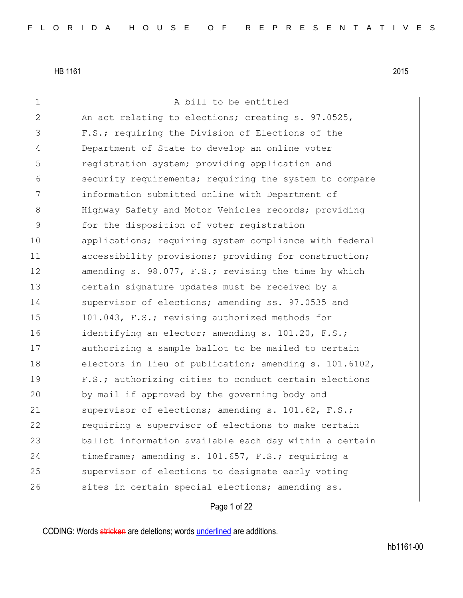| 1             | A bill to be entitled                                  |
|---------------|--------------------------------------------------------|
| $\mathbf{2}$  | An act relating to elections; creating s. 97.0525,     |
| 3             | F.S.; requiring the Division of Elections of the       |
| 4             | Department of State to develop an online voter         |
| 5             | registration system; providing application and         |
| 6             | security requirements; requiring the system to compare |
| 7             | information submitted online with Department of        |
| 8             | Highway Safety and Motor Vehicles records; providing   |
| $\mathcal{G}$ | for the disposition of voter registration              |
| 10            | applications; requiring system compliance with federal |
| 11            | accessibility provisions; providing for construction;  |
| 12            | amending s. 98.077, F.S.; revising the time by which   |
| 13            | certain signature updates must be received by a        |
| 14            | supervisor of elections; amending ss. 97.0535 and      |
| 15            | 101.043, F.S.; revising authorized methods for         |
| 16            | identifying an elector; amending s. 101.20, F.S.;      |
| 17            | authorizing a sample ballot to be mailed to certain    |
| 18            | electors in lieu of publication; amending s. 101.6102, |
| 19            | F.S.; authorizing cities to conduct certain elections  |
| 20            | by mail if approved by the governing body and          |
| 21            | supervisor of elections; amending s. 101.62, F.S.;     |
| 22            | requiring a supervisor of elections to make certain    |
| 23            | ballot information available each day within a certain |
| 24            | timeframe; amending s. 101.657, F.S.; requiring a      |
| 25            | supervisor of elections to designate early voting      |
| 26            | sites in certain special elections; amending ss.       |
|               |                                                        |

Page 1 of 22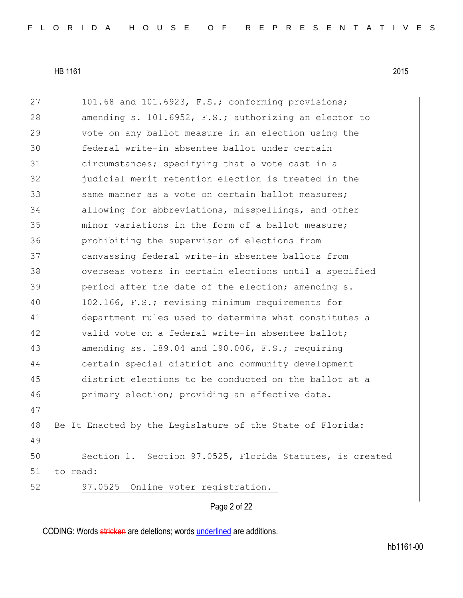Page 2 of 22 27 101.68 and 101.6923, F.S.; conforming provisions; 28 amending s. 101.6952, F.S.; authorizing an elector to 29 vote on any ballot measure in an election using the 30 federal write-in absentee ballot under certain 31 circumstances; specifying that a vote cast in a 32 <sup>judicial merit retention election is treated in the</sub></sup> 33 same manner as a vote on certain ballot measures; 34 allowing for abbreviations, misspellings, and other 35 and incrustations in the form of a ballot measure; 36 prohibiting the supervisor of elections from 37 canvassing federal write-in absentee ballots from 38 overseas voters in certain elections until a specified 39 period after the date of the election; amending s. 40 102.166, F.S.; revising minimum requirements for 41 department rules used to determine what constitutes a 42 valid vote on a federal write-in absentee ballot; 43 amending ss. 189.04 and 190.006, F.S.; requiring 44 certain special district and community development 45 district elections to be conducted on the ballot at a 46 primary election; providing an effective date. 47 48 Be It Enacted by the Legislature of the State of Florida: 49 50 Section 1. Section 97.0525, Florida Statutes, is created 51 to read: 52 97.0525 Online voter registration.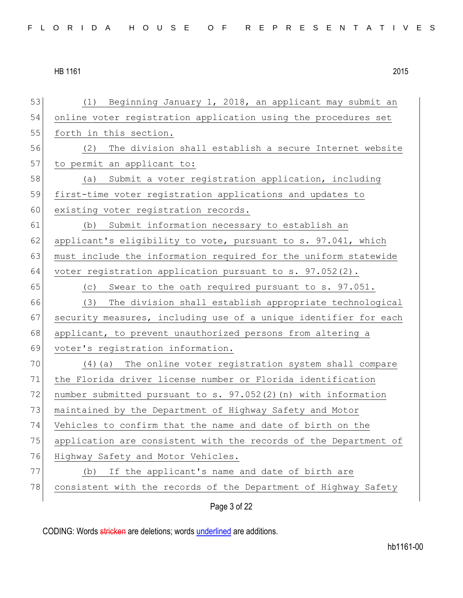| 53 | (1) Beginning January 1, 2018, an applicant may submit an        |
|----|------------------------------------------------------------------|
| 54 | online voter registration application using the procedures set   |
| 55 | forth in this section.                                           |
| 56 | The division shall establish a secure Internet website<br>(2)    |
| 57 | to permit an applicant to:                                       |
| 58 | Submit a voter registration application, including<br>(a)        |
| 59 | first-time voter registration applications and updates to        |
| 60 | existing voter registration records.                             |
| 61 | Submit information necessary to establish an<br>(b)              |
| 62 | applicant's eligibility to vote, pursuant to s. 97.041, which    |
| 63 | must include the information required for the uniform statewide  |
| 64 | voter registration application pursuant to s. 97.052(2).         |
| 65 | (c) Swear to the oath required pursuant to s. 97.051.            |
| 66 | (3)<br>The division shall establish appropriate technological    |
| 67 | security measures, including use of a unique identifier for each |
| 68 | applicant, to prevent unauthorized persons from altering a       |
| 69 | voter's registration information.                                |
| 70 | (4) (a) The online voter registration system shall compare       |
| 71 | the Florida driver license number or Florida identification      |
| 72 | number submitted pursuant to s. 97.052(2) (n) with information   |
| 73 | maintained by the Department of Highway Safety and Motor         |
| 74 | Vehicles to confirm that the name and date of birth on the       |
| 75 | application are consistent with the records of the Department of |
| 76 | Highway Safety and Motor Vehicles.                               |
| 77 | If the applicant's name and date of birth are<br>(b)             |
| 78 | consistent with the records of the Department of Highway Safety  |
|    | Page 3 of 22                                                     |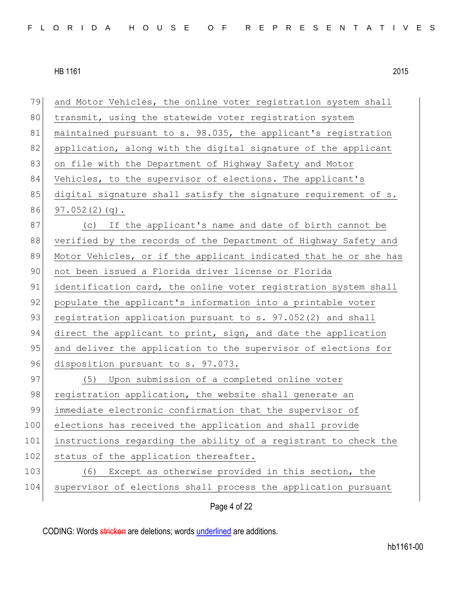| 79  | and Motor Vehicles, the online voter registration system shall   |
|-----|------------------------------------------------------------------|
| 80  | transmit, using the statewide voter registration system          |
| 81  | maintained pursuant to s. 98.035, the applicant's registration   |
| 82  | application, along with the digital signature of the applicant   |
| 83  | on file with the Department of Highway Safety and Motor          |
| 84  | Vehicles, to the supervisor of elections. The applicant's        |
| 85  | digital signature shall satisfy the signature requirement of s.  |
| 86  | $97.052(2)(q)$ .                                                 |
| 87  | (c) If the applicant's name and date of birth cannot be          |
| 88  | verified by the records of the Department of Highway Safety and  |
| 89  | Motor Vehicles, or if the applicant indicated that he or she has |
| 90  | not been issued a Florida driver license or Florida              |
| 91  | identification card, the online voter registration system shall  |
| 92  | populate the applicant's information into a printable voter      |
| 93  | registration application pursuant to s. 97.052(2) and shall      |
| 94  | direct the applicant to print, sign, and date the application    |
| 95  | and deliver the application to the supervisor of elections for   |
| 96  | disposition pursuant to s. 97.073.                               |
| 97  | (5) Upon submission of a completed online voter                  |
| 98  | registration application, the website shall generate an          |
| 99  | immediate electronic confirmation that the supervisor of         |
| 100 | elections has received the application and shall provide         |
| 101 | instructions regarding the ability of a registrant to check the  |
| 102 | status of the application thereafter.                            |
| 103 | Except as otherwise provided in this section, the<br>(6)         |
| 104 | supervisor of elections shall process the application pursuant   |
|     |                                                                  |

Page 4 of 22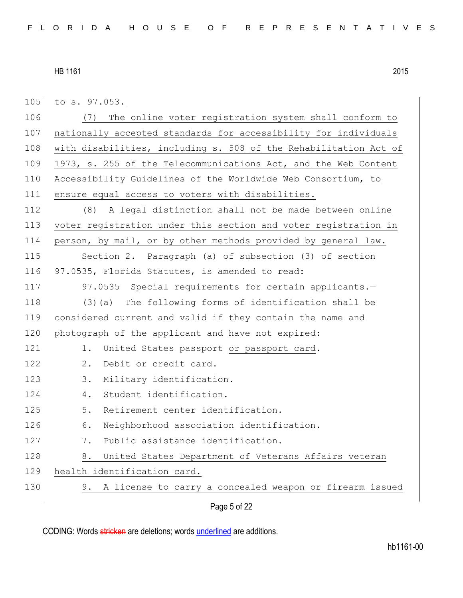Page 5 of 22 105 to s. 97.053. 106 (7) The online voter registration system shall conform to 107 nationally accepted standards for accessibility for individuals 108 with disabilities, including s. 508 of the Rehabilitation Act of 109 1973, s. 255 of the Telecommunications Act, and the Web Content 110 Accessibility Guidelines of the Worldwide Web Consortium, to 111 ensure equal access to voters with disabilities. 112 (8) A legal distinction shall not be made between online 113 voter registration under this section and voter registration in 114 person, by mail, or by other methods provided by general law. 115 Section 2. Paragraph (a) of subsection (3) of section 116 97.0535, Florida Statutes, is amended to read: 117 97.0535 Special requirements for certain applicants. 118 (3) (a) The following forms of identification shall be 119 considered current and valid if they contain the name and 120 photograph of the applicant and have not expired: 121 1. United States passport or passport card. 122 2. Debit or credit card. 123 3. Military identification. 124 4. Student identification. 125 5. Retirement center identification. 126 6. Neighborhood association identification. 127 7. Public assistance identification. 128 8. United States Department of Veterans Affairs veteran 129 health identification card. 130 9. A license to carry a concealed weapon or firearm issued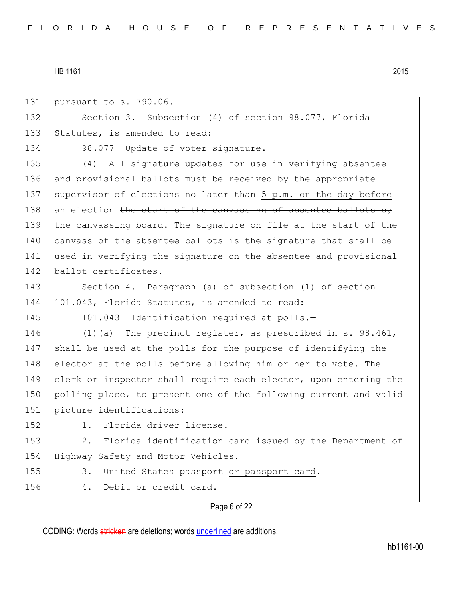131 pursuant to s. 790.06. 132 Section 3. Subsection (4) of section 98.077, Florida 133 Statutes, is amended to read: 134 98.077 Update of voter signature.-135 (4) All signature updates for use in verifying absentee 136 and provisional ballots must be received by the appropriate 137 supervisor of elections no later than 5 p.m. on the day before  $138$  an election the start of the canvassing of absentee ballots by 139 the canvassing board. The signature on file at the start of the 140 canvass of the absentee ballots is the signature that shall be 141 used in verifying the signature on the absentee and provisional 142 ballot certificates. 143 Section 4. Paragraph (a) of subsection (1) of section 144 101.043, Florida Statutes, is amended to read: 145 101.043 Identification required at polls.-146 (1)(a) The precinct register, as prescribed in s. 98.461, 147 shall be used at the polls for the purpose of identifying the 148 elector at the polls before allowing him or her to vote. The 149 clerk or inspector shall require each elector, upon entering the 150 polling place, to present one of the following current and valid 151 picture identifications: 152 1. Florida driver license. 153 2. Florida identification card issued by the Department of 154 Highway Safety and Motor Vehicles. 155 3. United States passport or passport card. 156 4. Debit or credit card.

# Page 6 of 22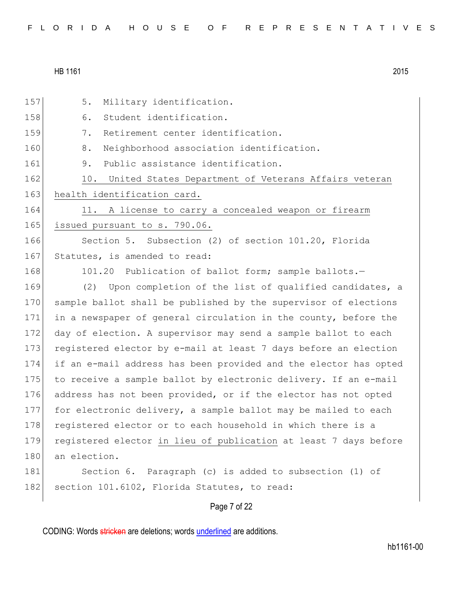|  |  |  |  |  |  |  |  |  |  | FLORIDA HOUSE OF REPRESENTATIVES |  |  |  |  |  |  |  |  |  |  |  |  |  |  |  |  |
|--|--|--|--|--|--|--|--|--|--|----------------------------------|--|--|--|--|--|--|--|--|--|--|--|--|--|--|--|--|
|--|--|--|--|--|--|--|--|--|--|----------------------------------|--|--|--|--|--|--|--|--|--|--|--|--|--|--|--|--|

| 157 | 5.<br>Military identification.                                   |
|-----|------------------------------------------------------------------|
| 158 | Student identification.<br>6.                                    |
| 159 | Retirement center identification.<br>7.                          |
| 160 | $8$ .<br>Neighborhood association identification.                |
| 161 | Public assistance identification.<br>9.                          |
| 162 | 10.<br>United States Department of Veterans Affairs veteran      |
| 163 | health identification card.                                      |
| 164 | A license to carry a concealed weapon or firearm<br>11.          |
| 165 | issued pursuant to s. 790.06.                                    |
| 166 | Section 5. Subsection (2) of section 101.20, Florida             |
| 167 | Statutes, is amended to read:                                    |
| 168 | 101.20 Publication of ballot form; sample ballots.-              |
| 169 | (2) Upon completion of the list of qualified candidates, a       |
| 170 | sample ballot shall be published by the supervisor of elections  |
| 171 | in a newspaper of general circulation in the county, before the  |
| 172 | day of election. A supervisor may send a sample ballot to each   |
| 173 | registered elector by e-mail at least 7 days before an election  |
| 174 | if an e-mail address has been provided and the elector has opted |
| 175 | to receive a sample ballot by electronic delivery. If an e-mail  |
| 176 | address has not been provided, or if the elector has not opted   |
| 177 | for electronic delivery, a sample ballot may be mailed to each   |
| 178 | registered elector or to each household in which there is a      |
| 179 | registered elector in lieu of publication at least 7 days before |
| 180 | an election.                                                     |
| 181 | Section 6. Paragraph (c) is added to subsection (1) of           |
| 182 | section 101.6102, Florida Statutes, to read:                     |
|     | Page 7 of 22                                                     |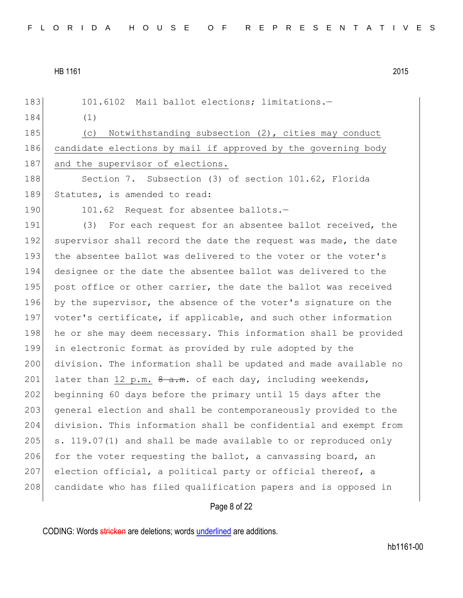| 183 | 101.6102 Mail ballot elections; limitations.-                     |
|-----|-------------------------------------------------------------------|
| 184 | (1)                                                               |
| 185 | Notwithstanding subsection (2), cities may conduct<br>(C)         |
| 186 | candidate elections by mail if approved by the governing body     |
| 187 | and the supervisor of elections.                                  |
| 188 | Section 7. Subsection (3) of section 101.62, Florida              |
| 189 | Statutes, is amended to read:                                     |
| 190 | 101.62 Request for absentee ballots.-                             |
| 191 | For each request for an absentee ballot received, the<br>(3)      |
| 192 | supervisor shall record the date the request was made, the date   |
| 193 | the absentee ballot was delivered to the voter or the voter's     |
| 194 | designee or the date the absentee ballot was delivered to the     |
| 195 | post office or other carrier, the date the ballot was received    |
| 196 | by the supervisor, the absence of the voter's signature on the    |
| 197 | voter's certificate, if applicable, and such other information    |
| 198 | he or she may deem necessary. This information shall be provided  |
| 199 | in electronic format as provided by rule adopted by the           |
| 200 | division. The information shall be updated and made available no  |
| 201 | later than 12 p.m. $\theta$ a.m. of each day, including weekends, |
| 202 | beginning 60 days before the primary until 15 days after the      |
| 203 | general election and shall be contemporaneously provided to the   |
| 204 | division. This information shall be confidential and exempt from  |
| 205 | s. 119.07(1) and shall be made available to or reproduced only    |
| 206 | for the voter requesting the ballot, a canvassing board, an       |
| 207 | election official, a political party or official thereof, a       |
| 208 | candidate who has filed qualification papers and is opposed in    |
|     | Page 8 of 22                                                      |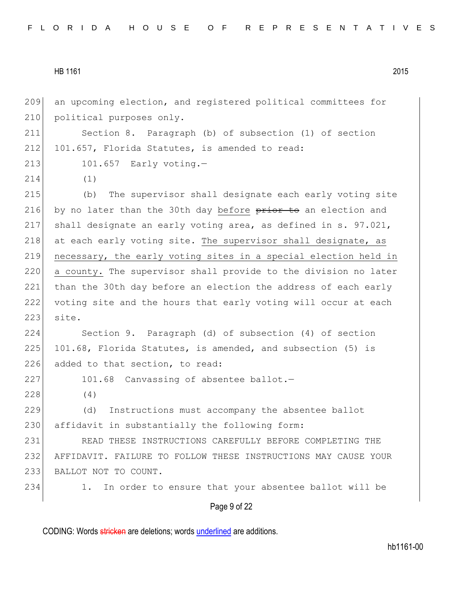Page 9 of 22 209 an upcoming election, and registered political committees for 210 political purposes only. 211 Section 8. Paragraph (b) of subsection (1) of section 212 101.657, Florida Statutes, is amended to read: 213 101.657 Early voting.-214 (1) 215 (b) The supervisor shall designate each early voting site 216 by no later than the 30th day before prior to an election and 217 shall designate an early voting area, as defined in s. 97.021,  $218$  at each early voting site. The supervisor shall designate, as 219 necessary, the early voting sites in a special election held in 220 a county. The supervisor shall provide to the division no later 221 than the 30th day before an election the address of each early 222 voting site and the hours that early voting will occur at each 223 site. 224 Section 9. Paragraph (d) of subsection (4) of section 225 101.68, Florida Statutes, is amended, and subsection  $(5)$  is 226 added to that section, to read: 227 101.68 Canvassing of absentee ballot.-228 (4) 229 (d) Instructions must accompany the absentee ballot 230 affidavit in substantially the following form: 231 READ THESE INSTRUCTIONS CAREFULLY BEFORE COMPLETING THE 232 AFFIDAVIT. FAILURE TO FOLLOW THESE INSTRUCTIONS MAY CAUSE YOUR 233 BALLOT NOT TO COUNT. 234 1. In order to ensure that your absentee ballot will be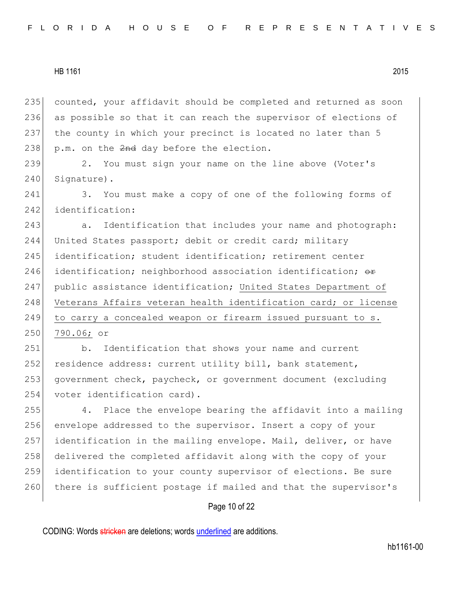235 counted, your affidavit should be completed and returned as soon 236 as possible so that it can reach the supervisor of elections of 237 the county in which your precinct is located no later than 5 238  $p.m.$  on the  $2nd$  day before the election.

239 2. You must sign your name on the line above (Voter's 240 Signature).

241 3. You must make a copy of one of the following forms of 242 identification:

243 a. Identification that includes your name and photograph: 244 United States passport; debit or credit card; military 245 identification; student identification; retirement center 246 identification; neighborhood association identification;  $\theta$ 247 public assistance identification; United States Department of 248 Veterans Affairs veteran health identification card; or license 249 to carry a concealed weapon or firearm issued pursuant to s. 250 790.06; or

251 b. Identification that shows your name and current 252 residence address: current utility bill, bank statement, 253 government check, paycheck, or government document (excluding 254 voter identification card).

255 4. Place the envelope bearing the affidavit into a mailing 256 envelope addressed to the supervisor. Insert a copy of your 257 identification in the mailing envelope. Mail, deliver, or have 258 delivered the completed affidavit along with the copy of your 259 identification to your county supervisor of elections. Be sure 260 there is sufficient postage if mailed and that the supervisor's

## Page 10 of 22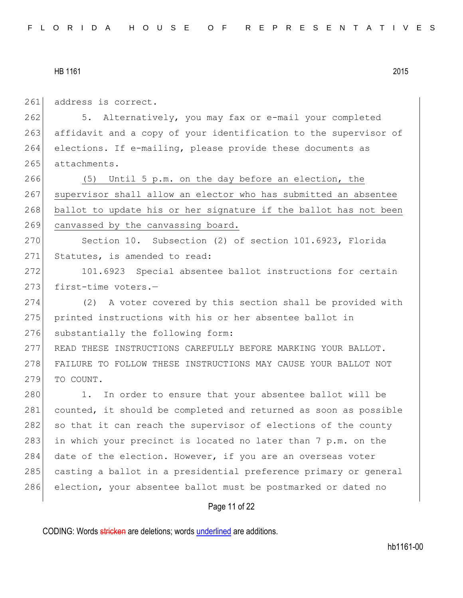261 address is correct.

262 5. Alternatively, you may fax or e-mail your completed 263 affidavit and a copy of your identification to the supervisor of 264 elections. If e-mailing, please provide these documents as 265 attachments.

266 (5) Until 5 p.m. on the day before an election, the 267 supervisor shall allow an elector who has submitted an absentee 268 ballot to update his or her signature if the ballot has not been 269 canvassed by the canvassing board.

270 Section 10. Subsection (2) of section 101.6923, Florida 271 Statutes, is amended to read:

272 101.6923 Special absentee ballot instructions for certain 273 first-time voters.-

274 (2) A voter covered by this section shall be provided with 275 printed instructions with his or her absentee ballot in 276 substantially the following form:

277 READ THESE INSTRUCTIONS CAREFULLY BEFORE MARKING YOUR BALLOT. 278 FAILURE TO FOLLOW THESE INSTRUCTIONS MAY CAUSE YOUR BALLOT NOT 279 TO COUNT.

280 1. In order to ensure that your absentee ballot will be 281 counted, it should be completed and returned as soon as possible 282 so that it can reach the supervisor of elections of the county 283 in which your precinct is located no later than 7 p.m. on the 284 date of the election. However, if you are an overseas voter 285 casting a ballot in a presidential preference primary or general 286 election, your absentee ballot must be postmarked or dated no

## Page 11 of 22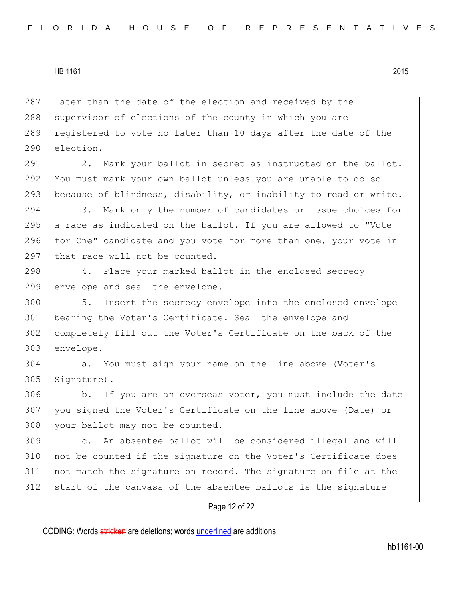287 later than the date of the election and received by the 288 supervisor of elections of the county in which you are 289 registered to vote no later than 10 days after the date of the 290 election.

291 2. Mark your ballot in secret as instructed on the ballot. 292 You must mark your own ballot unless you are unable to do so 293 because of blindness, disability, or inability to read or write.

294 3. Mark only the number of candidates or issue choices for 295 a race as indicated on the ballot. If you are allowed to "Vote 296 for One" candidate and you vote for more than one, your vote in 297 that race will not be counted.

298 4. Place your marked ballot in the enclosed secrecy 299 envelope and seal the envelope.

 5. Insert the secrecy envelope into the enclosed envelope bearing the Voter's Certificate. Seal the envelope and completely fill out the Voter's Certificate on the back of the envelope.

304 a. You must sign your name on the line above (Voter's 305 Signature).

306 b. If you are an overseas voter, you must include the date 307 you signed the Voter's Certificate on the line above (Date) or 308 your ballot may not be counted.

 c. An absentee ballot will be considered illegal and will 310 not be counted if the signature on the Voter's Certificate does not match the signature on record. The signature on file at the start of the canvass of the absentee ballots is the signature

# Page 12 of 22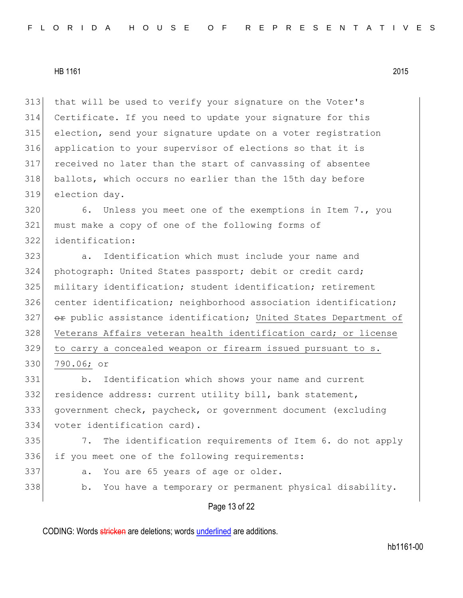that will be used to verify your signature on the Voter's Certificate. If you need to update your signature for this election, send your signature update on a voter registration application to your supervisor of elections so that it is received no later than the start of canvassing of absentee ballots, which occurs no earlier than the 15th day before election day.

320 6. Unless you meet one of the exemptions in Item 7., you must make a copy of one of the following forms of identification:

 a. Identification which must include your name and photograph: United States passport; debit or credit card; military identification; student identification; retirement 326 center identification; neighborhood association identification;  $\rightarrow$  public assistance identification; United States Department of 328 Veterans Affairs veteran health identification card; or license to carry a concealed weapon or firearm issued pursuant to s. 790.06; or

 b. Identification which shows your name and current residence address: current utility bill, bank statement, government check, paycheck, or government document (excluding voter identification card).

335 7. The identification requirements of Item 6. do not apply 336 if you meet one of the following requirements:

- 337 a. You are 65 years of age or older.
- 338 b. You have a temporary or permanent physical disability.

Page 13 of 22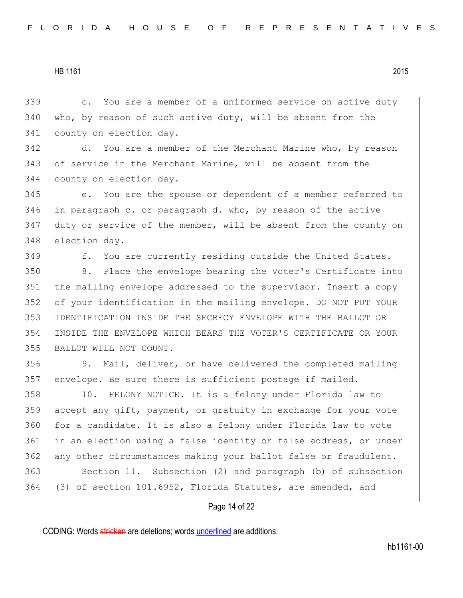c. You are a member of a uniformed service on active duty who, by reason of such active duty, will be absent from the county on election day.

342 d. You are a member of the Merchant Marine who, by reason of service in the Merchant Marine, will be absent from the county on election day.

 e. You are the spouse or dependent of a member referred to in paragraph c. or paragraph d. who, by reason of the active duty or service of the member, will be absent from the county on election day.

349 f. You are currently residing outside the United States.

 8. Place the envelope bearing the Voter's Certificate into the mailing envelope addressed to the supervisor. Insert a copy of your identification in the mailing envelope. DO NOT PUT YOUR IDENTIFICATION INSIDE THE SECRECY ENVELOPE WITH THE BALLOT OR INSIDE THE ENVELOPE WHICH BEARS THE VOTER'S CERTIFICATE OR YOUR BALLOT WILL NOT COUNT.

 9. Mail, deliver, or have delivered the completed mailing envelope. Be sure there is sufficient postage if mailed.

358 10. FELONY NOTICE. It is a felony under Florida law to accept any gift, payment, or gratuity in exchange for your vote 360 for a candidate. It is also a felony under Florida law to vote in an election using a false identity or false address, or under 362 any other circumstances making your ballot false or fraudulent. Section 11. Subsection (2) and paragraph (b) of subsection (3) of section 101.6952, Florida Statutes, are amended, and

## Page 14 of 22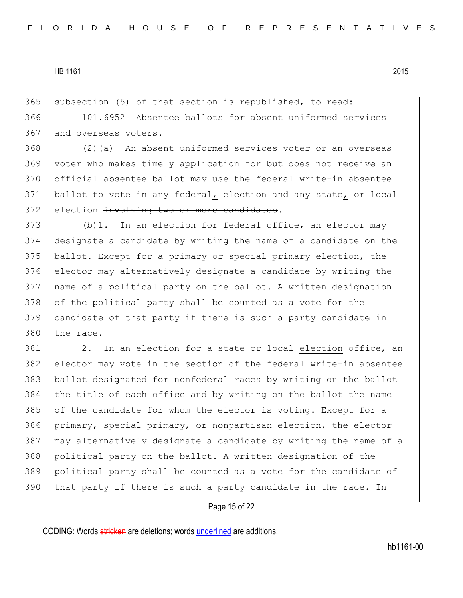subsection (5) of that section is republished, to read:

 101.6952 Absentee ballots for absent uniformed services and overseas voters. -

 (2)(a) An absent uniformed services voter or an overseas voter who makes timely application for but does not receive an official absentee ballot may use the federal write-in absentee 371 ballot to vote in any federal, election and any state, or local 372 election involving two or more candidates.

373 (b)1. In an election for federal office, an elector may designate a candidate by writing the name of a candidate on the ballot. Except for a primary or special primary election, the elector may alternatively designate a candidate by writing the name of a political party on the ballot. A written designation 378 of the political party shall be counted as a vote for the candidate of that party if there is such a party candidate in 380 the race.

381 2. In an election for a state or local election office, an elector may vote in the section of the federal write-in absentee ballot designated for nonfederal races by writing on the ballot the title of each office and by writing on the ballot the name of the candidate for whom the elector is voting. Except for a primary, special primary, or nonpartisan election, the elector may alternatively designate a candidate by writing the name of a political party on the ballot. A written designation of the political party shall be counted as a vote for the candidate of that party if there is such a party candidate in the race. In

# Page 15 of 22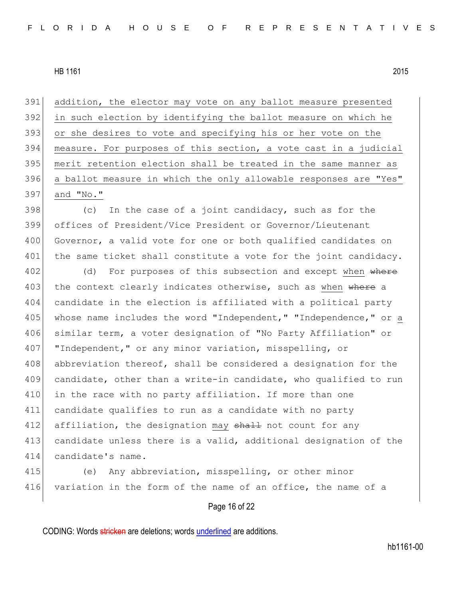addition, the elector may vote on any ballot measure presented in such election by identifying the ballot measure on which he 393 or she desires to vote and specifying his or her vote on the measure. For purposes of this section, a vote cast in a judicial merit retention election shall be treated in the same manner as a ballot measure in which the only allowable responses are "Yes" and "No."

 $398$  (c) In the case of a joint candidacy, such as for the 399 offices of President/Vice President or Governor/Lieutenant 400 Governor, a valid vote for one or both qualified candidates on 401 the same ticket shall constitute a vote for the joint candidacy.

402 (d) For purposes of this subsection and except when where 403 the context clearly indicates otherwise, such as when where a 404 candidate in the election is affiliated with a political party 405 whose name includes the word "Independent," "Independence," or a 406 similar term, a voter designation of "No Party Affiliation" or 407 | "Independent," or any minor variation, misspelling, or 408 abbreviation thereof, shall be considered a designation for the 409 candidate, other than a write-in candidate, who qualified to run 410 in the race with no party affiliation. If more than one 411 candidate qualifies to run as a candidate with no party 412 affiliation, the designation may shall not count for any 413 candidate unless there is a valid, additional designation of the 414 candidate's name.

415 (e) Any abbreviation, misspelling, or other minor 416 variation in the form of the name of an office, the name of a

# Page 16 of 22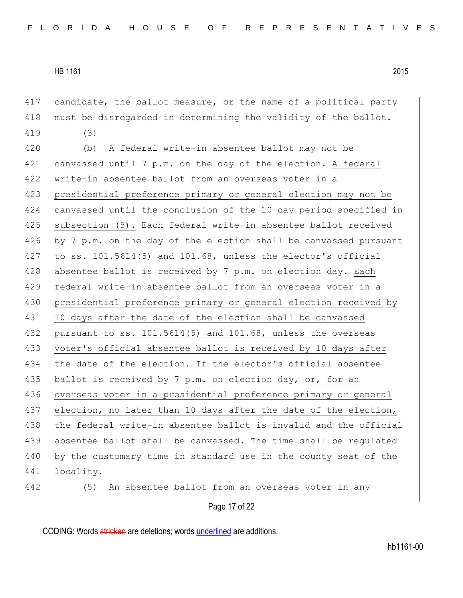417 candidate, the ballot measure, or the name of a political party 418 must be disregarded in determining the validity of the ballot. 419 (3)

420 (b) A federal write-in absentee ballot may not be 421 canvassed until 7 p.m. on the day of the election. A federal 422 write-in absentee ballot from an overseas voter in a 423 presidential preference primary or general election may not be 424 canvassed until the conclusion of the 10-day period specified in 425 subsection (5). Each federal write-in absentee ballot received 426 by 7 p.m. on the day of the election shall be canvassed pursuant 427 to ss.  $101.5614(5)$  and  $101.68$ , unless the elector's official 428 absentee ballot is received by 7 p.m. on election day. Each 429 federal write-in absentee ballot from an overseas voter in a 430 presidential preference primary or general election received by 431 10 days after the date of the election shall be canvassed 432 pursuant to ss.  $101.5614(5)$  and  $101.68$ , unless the overseas 433 voter's official absentee ballot is received by 10 days after 434 the date of the election. If the elector's official absentee 435 ballot is received by 7 p.m. on election day, or, for an 436 overseas voter in a presidential preference primary or general 437 election, no later than 10 days after the date of the election, 438 the federal write-in absentee ballot is invalid and the official 439 absentee ballot shall be canvassed. The time shall be regulated 440 by the customary time in standard use in the county seat of the 441 locality.

442 (5) An absentee ballot from an overseas voter in any

Page 17 of 22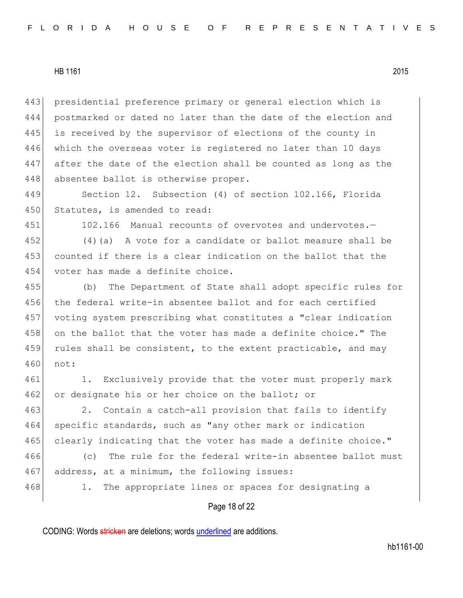443 presidential preference primary or general election which is 444 postmarked or dated no later than the date of the election and 445 is received by the supervisor of elections of the county in 446 which the overseas voter is registered no later than 10 days 447 after the date of the election shall be counted as long as the 448 absentee ballot is otherwise proper.

449 Section 12. Subsection (4) of section 102.166, Florida 450 Statutes, is amended to read:

451 102.166 Manual recounts of overvotes and undervotes.—

452 (4)(a) A vote for a candidate or ballot measure shall be 453 counted if there is a clear indication on the ballot that the 454 voter has made a definite choice.

455 (b) The Department of State shall adopt specific rules for 456 the federal write-in absentee ballot and for each certified 457 voting system prescribing what constitutes a "clear indication 458 on the ballot that the voter has made a definite choice." The 459 rules shall be consistent, to the extent practicable, and may 460 not:

461 1. Exclusively provide that the voter must properly mark 462 or designate his or her choice on the ballot; or

463 2. Contain a catch-all provision that fails to identify 464 specific standards, such as "any other mark or indication 465 clearly indicating that the voter has made a definite choice."

466 (c) The rule for the federal write-in absentee ballot must 467 address, at a minimum, the following issues:

468 1. The appropriate lines or spaces for designating a

## Page 18 of 22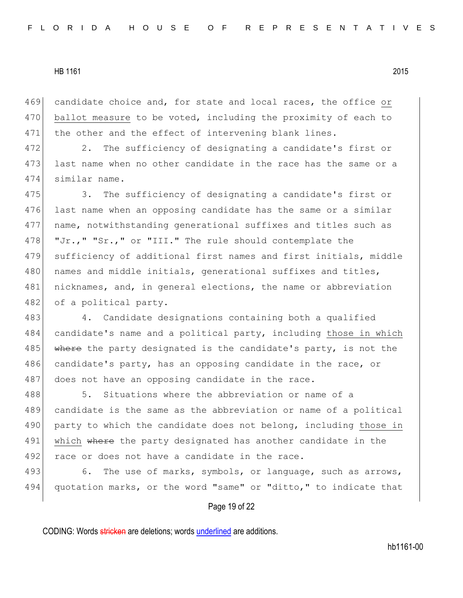469 candidate choice and, for state and local races, the office or 470 ballot measure to be voted, including the proximity of each to 471 the other and the effect of intervening blank lines.

472 2. The sufficiency of designating a candidate's first or 473 last name when no other candidate in the race has the same or a 474 similar name.

475 3. The sufficiency of designating a candidate's first or 476 last name when an opposing candidate has the same or a similar 477 name, notwithstanding generational suffixes and titles such as 478 "Jr.," "Sr.," or "III." The rule should contemplate the 479 sufficiency of additional first names and first initials, middle 480 | names and middle initials, generational suffixes and titles, 481 nicknames, and, in general elections, the name or abbreviation 482 of a political party.

483 4. Candidate designations containing both a qualified 484 candidate's name and a political party, including those in which 485 where the party designated is the candidate's party, is not the 486 candidate's party, has an opposing candidate in the race, or 487 does not have an opposing candidate in the race.

488 5. Situations where the abbreviation or name of a 489 candidate is the same as the abbreviation or name of a political 490 party to which the candidate does not belong, including those in 491 which where the party designated has another candidate in the 492 race or does not have a candidate in the race.

493 6. The use of marks, symbols, or language, such as arrows, 494 quotation marks, or the word "same" or "ditto," to indicate that

## Page 19 of 22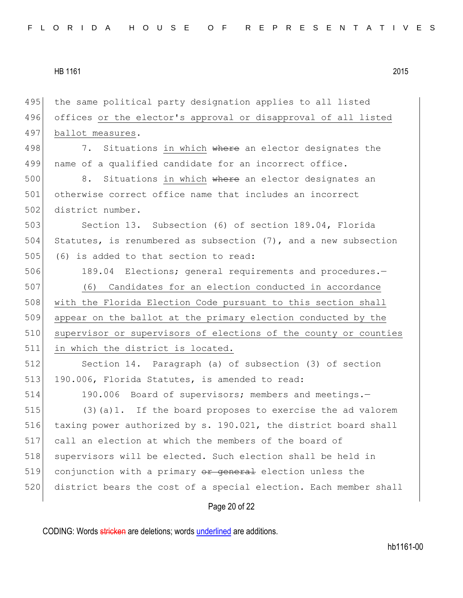495 the same political party designation applies to all listed 496 offices or the elector's approval or disapproval of all listed 497 ballot measures. 498 7. Situations in which where an elector designates the 499 name of a qualified candidate for an incorrect office. 500 8. Situations in which where an elector designates an

501 otherwise correct office name that includes an incorrect 502 district number.

503 Section 13. Subsection (6) of section 189.04, Florida 504 Statutes, is renumbered as subsection (7), and a new subsection 505 (6) is added to that section to read:

506 189.04 Elections; general requirements and procedures.-

507 (6) Candidates for an election conducted in accordance 508 with the Florida Election Code pursuant to this section shall 509 appear on the ballot at the primary election conducted by the 510 supervisor or supervisors of elections of the county or counties 511 in which the district is located.

512 Section 14. Paragraph (a) of subsection (3) of section 513 190.006, Florida Statutes, is amended to read:

514 190.006 Board of supervisors; members and meetings. 515 (3)(a)1. If the board proposes to exercise the ad valorem 516 taxing power authorized by s. 190.021, the district board shall 517 call an election at which the members of the board of 518 supervisors will be elected. Such election shall be held in 519 conjunction with a primary or general election unless the 520 district bears the cost of a special election. Each member shall

## Page 20 of 22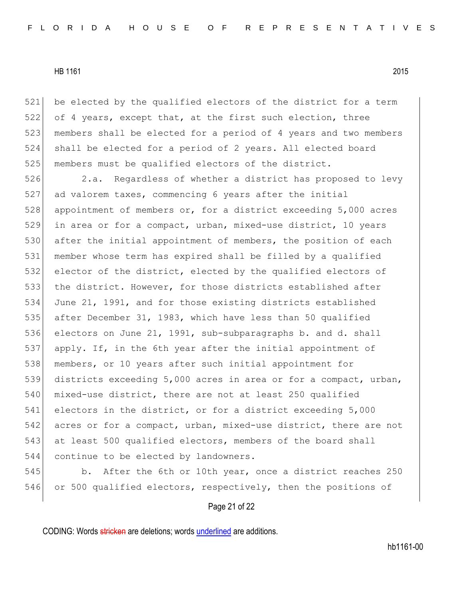521 be elected by the qualified electors of the district for a term 522 of 4 years, except that, at the first such election, three 523 members shall be elected for a period of 4 years and two members 524 shall be elected for a period of 2 years. All elected board 525 members must be qualified electors of the district.

526 2.a. Regardless of whether a district has proposed to levy ad valorem taxes, commencing 6 years after the initial 528 appointment of members or, for a district exceeding 5,000 acres in area or for a compact, urban, mixed-use district, 10 years 530 after the initial appointment of members, the position of each member whose term has expired shall be filled by a qualified elector of the district, elected by the qualified electors of 533 the district. However, for those districts established after June 21, 1991, and for those existing districts established after December 31, 1983, which have less than 50 qualified electors on June 21, 1991, sub-subparagraphs b. and d. shall apply. If, in the 6th year after the initial appointment of members, or 10 years after such initial appointment for districts exceeding 5,000 acres in area or for a compact, urban, 540 mixed-use district, there are not at least 250 qualified electors in the district, or for a district exceeding 5,000 542 acres or for a compact, urban, mixed-use district, there are not 543 at least 500 qualified electors, members of the board shall continue to be elected by landowners.

545 b. After the 6th or 10th year, once a district reaches 250 546 or 500 qualified electors, respectively, then the positions of

# Page 21 of 22